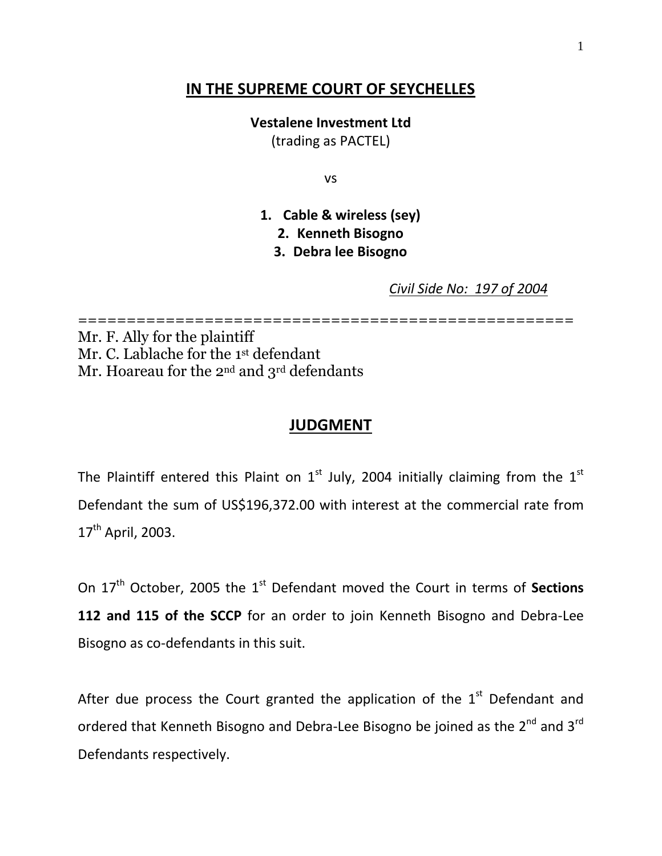## **IN THE SUPREME COURT OF SEYCHELLES**

**Vestalene Investment Ltd**

(trading as PACTEL)

vs

**1. Cable & wireless (sey)**

**2. Kenneth Bisogno**

**3. Debra lee Bisogno**

*Civil Side No: 197 of 2004*

=================================================== Mr. F. Ally for the plaintiff

Mr. C. Lablache for the 1st defendant Mr. Hoareau for the 2<sup>nd</sup> and 3<sup>rd</sup> defendants

### **JUDGMENT**

The Plaintiff entered this Plaint on  $1<sup>st</sup>$  July, 2004 initially claiming from the  $1<sup>st</sup>$ Defendant the sum of US\$196,372.00 with interest at the commercial rate from 17<sup>th</sup> April, 2003.

On 17<sup>th</sup> October, 2005 the 1<sup>st</sup> Defendant moved the Court in terms of Sections **112 and 115 of the SCCP** for an order to join Kenneth Bisogno and Debra-Lee Bisogno as co-defendants in this suit.

After due process the Court granted the application of the  $1<sup>st</sup>$  Defendant and ordered that Kenneth Bisogno and Debra-Lee Bisogno be joined as the 2<sup>nd</sup> and 3<sup>rd</sup> Defendants respectively.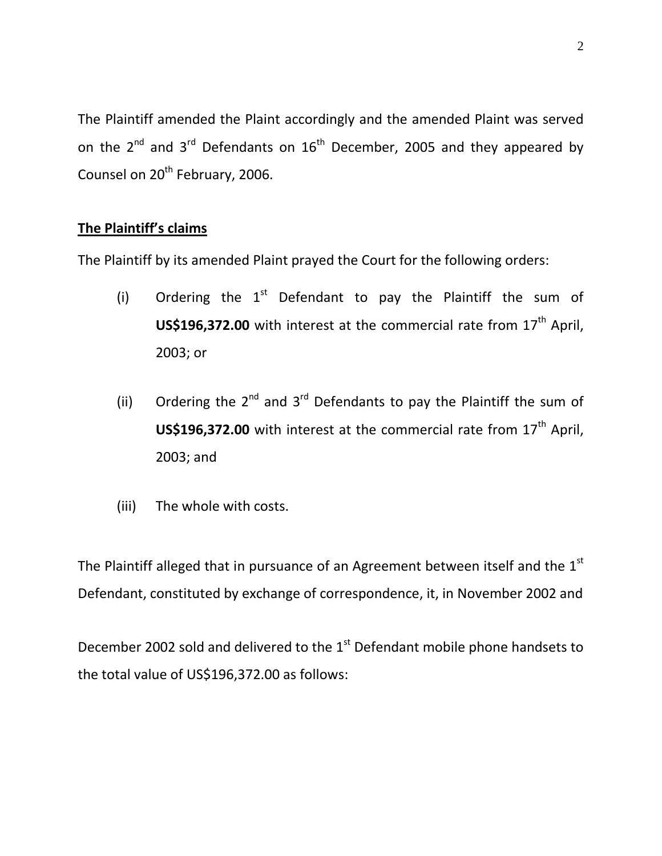The Plaintiff amended the Plaint accordingly and the amended Plaint was served on the  $2^{nd}$  and  $3^{rd}$  Defendants on  $16^{th}$  December, 2005 and they appeared by Counsel on 20<sup>th</sup> February, 2006.

## **The Plaintiff's claims**

The Plaintiff by its amended Plaint prayed the Court for the following orders:

- (i) Ordering the  $1<sup>st</sup>$  Defendant to pay the Plaintiff the sum of **US\$196,372.00** with interest at the commercial rate from 17<sup>th</sup> April, 2003; or
- (ii) Ordering the  $2^{nd}$  and  $3^{rd}$  Defendants to pay the Plaintiff the sum of **US\$196,372.00** with interest at the commercial rate from 17<sup>th</sup> April, 2003; and
- (iii) The whole with costs.

The Plaintiff alleged that in pursuance of an Agreement between itself and the  $1<sup>st</sup>$ Defendant, constituted by exchange of correspondence, it, in November 2002 and

December 2002 sold and delivered to the 1<sup>st</sup> Defendant mobile phone handsets to the total value of US\$196,372.00 as follows: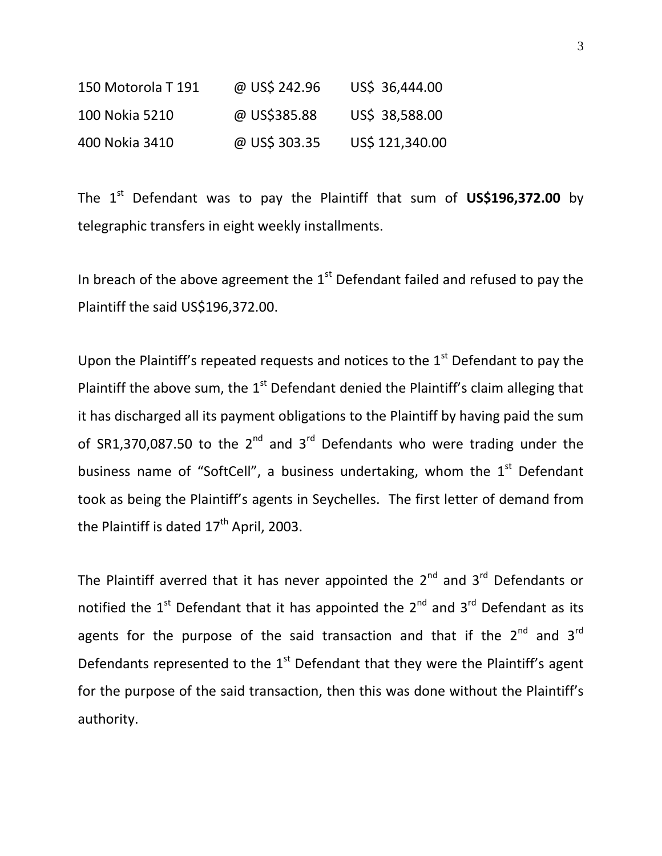| 150 Motorola T 191 | @ US\$ 242.96 | US\$ 36,444.00  |
|--------------------|---------------|-----------------|
| 100 Nokia 5210     | @ US\$385.88  | US\$ 38,588.00  |
| 400 Nokia 3410     | @ US\$ 303.35 | US\$ 121,340.00 |

The 1<sup>st</sup> Defendant was to pay the Plaintiff that sum of **US\$196,372.00** by telegraphic transfers in eight weekly installments.

In breach of the above agreement the  $1<sup>st</sup>$  Defendant failed and refused to pay the Plaintiff the said US\$196,372.00.

Upon the Plaintiff's repeated requests and notices to the  $1<sup>st</sup>$  Defendant to pay the Plaintiff the above sum, the  $1<sup>st</sup>$  Defendant denied the Plaintiff's claim alleging that it has discharged all its payment obligations to the Plaintiff by having paid the sum of SR1,370,087.50 to the  $2^{nd}$  and  $3^{rd}$  Defendants who were trading under the business name of "SoftCell", a business undertaking, whom the  $1<sup>st</sup>$  Defendant took as being the Plaintiff's agents in Seychelles. The first letter of demand from the Plaintiff is dated  $17<sup>th</sup>$  April, 2003.

The Plaintiff averred that it has never appointed the  $2^{nd}$  and  $3^{rd}$  Defendants or notified the  $1<sup>st</sup>$  Defendant that it has appointed the  $2<sup>nd</sup>$  and  $3<sup>rd</sup>$  Defendant as its agents for the purpose of the said transaction and that if the  $2^{nd}$  and  $3^{rd}$ Defendants represented to the  $1<sup>st</sup>$  Defendant that they were the Plaintiff's agent for the purpose of the said transaction, then this was done without the Plaintiff's authority.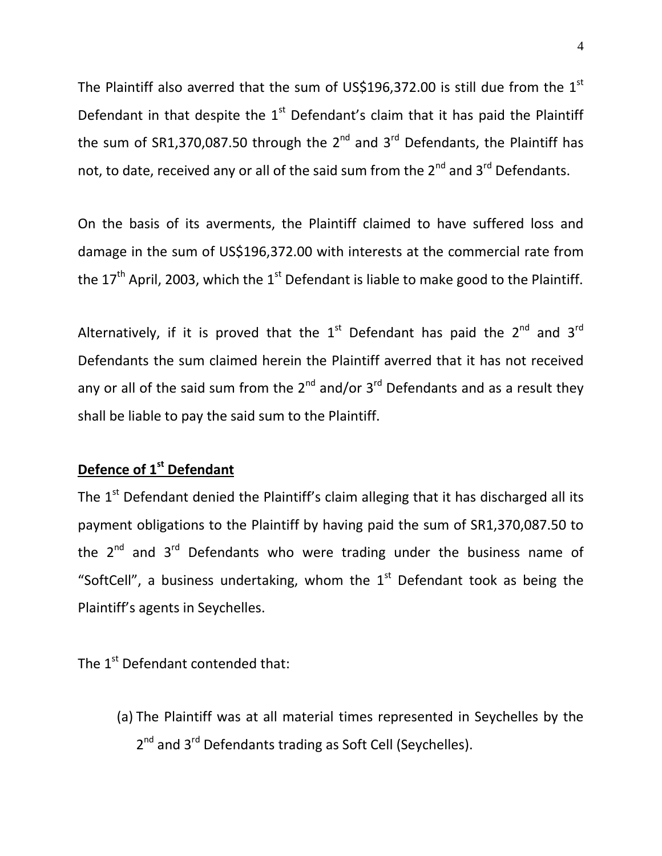The Plaintiff also averred that the sum of US\$196,372.00 is still due from the  $1<sup>st</sup>$ Defendant in that despite the  $1<sup>st</sup>$  Defendant's claim that it has paid the Plaintiff the sum of SR1,370,087.50 through the 2<sup>nd</sup> and 3<sup>rd</sup> Defendants, the Plaintiff has not, to date, received any or all of the said sum from the  $2^{nd}$  and  $3^{rd}$  Defendants.

On the basis of its averments, the Plaintiff claimed to have suffered loss and damage in the sum of US\$196,372.00 with interests at the commercial rate from the  $17<sup>th</sup>$  April, 2003, which the 1<sup>st</sup> Defendant is liable to make good to the Plaintiff.

Alternatively, if it is proved that the  $1<sup>st</sup>$  Defendant has paid the  $2<sup>nd</sup>$  and  $3<sup>rd</sup>$ Defendants the sum claimed herein the Plaintiff averred that it has not received any or all of the said sum from the  $2^{nd}$  and/or  $3^{rd}$  Defendants and as a result they shall be liable to pay the said sum to the Plaintiff.

## **Defence of 1st Defendant**

The  $1<sup>st</sup>$  Defendant denied the Plaintiff's claim alleging that it has discharged all its payment obligations to the Plaintiff by having paid the sum of SR1,370,087.50 to the  $2^{nd}$  and  $3^{rd}$  Defendants who were trading under the business name of "SoftCell", a business undertaking, whom the  $1<sup>st</sup>$  Defendant took as being the Plaintiff's agents in Seychelles.

The 1<sup>st</sup> Defendant contended that:

(a) The Plaintiff was at all material times represented in Seychelles by the 2<sup>nd</sup> and 3<sup>rd</sup> Defendants trading as Soft Cell (Seychelles).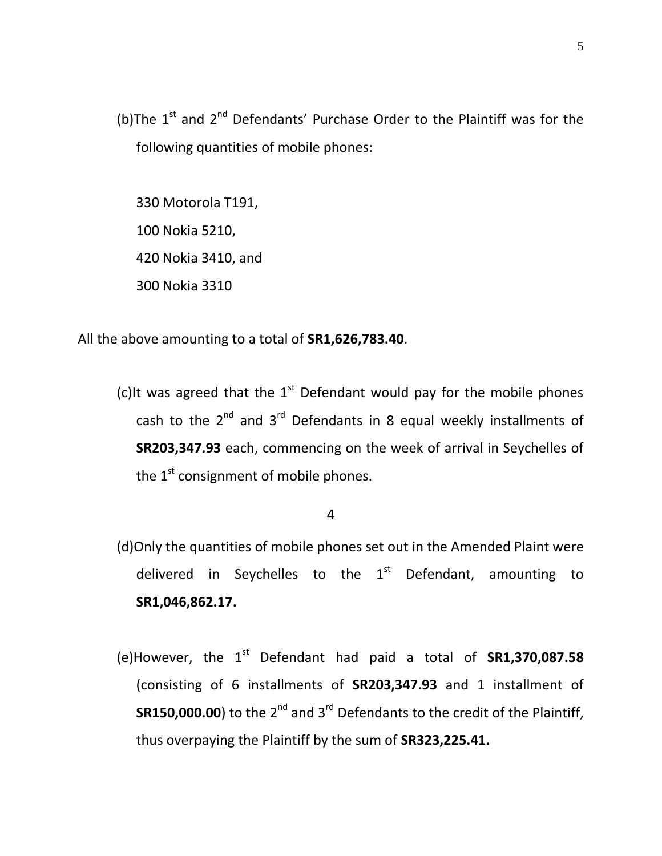(b)The  $1<sup>st</sup>$  and  $2<sup>nd</sup>$  Defendants' Purchase Order to the Plaintiff was for the following quantities of mobile phones:

330 Motorola T191, 100 Nokia 5210, 420 Nokia 3410, and 300 Nokia 3310

All the above amounting to a total of **SR1,626,783.40**.

(c)It was agreed that the  $1<sup>st</sup>$  Defendant would pay for the mobile phones cash to the  $2^{nd}$  and  $3^{rd}$  Defendants in 8 equal weekly installments of **SR203,347.93** each, commencing on the week of arrival in Seychelles of the  $1^{st}$  consignment of mobile phones.

4

- (d)Only the quantities of mobile phones set out in the Amended Plaint were delivered in Seychelles to the  $1<sup>st</sup>$  Defendant, amounting to **SR1,046,862.17.**
- (e)However, the  $1<sup>st</sup>$  Defendant had paid a total of  $SR1,370,087.58$ (consisting of 6 installments of **SR203,347.93** and 1 installment of **SR150,000.00**) to the 2<sup>nd</sup> and 3<sup>rd</sup> Defendants to the credit of the Plaintiff, thus overpaying the Plaintiff by the sum of **SR323,225.41.**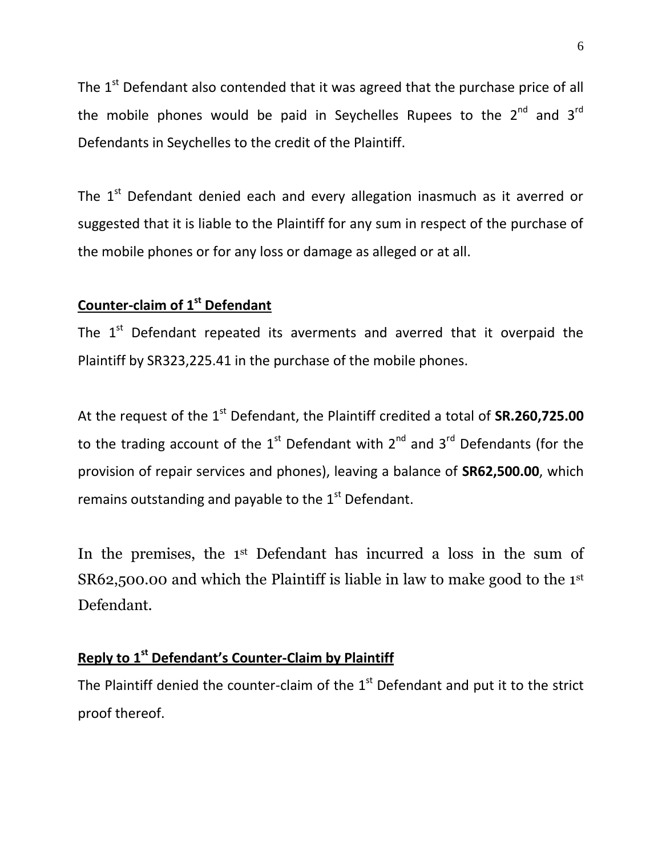The  $1<sup>st</sup>$  Defendant also contended that it was agreed that the purchase price of all the mobile phones would be paid in Seychelles Rupees to the  $2^{nd}$  and  $3^{rd}$ Defendants in Seychelles to the credit of the Plaintiff.

The  $1<sup>st</sup>$  Defendant denied each and every allegation inasmuch as it averred or suggested that it is liable to the Plaintiff for any sum in respect of the purchase of the mobile phones or for any loss or damage as alleged or at all.

## **Counter-claim of 1st Defendant**

The  $1<sup>st</sup>$  Defendant repeated its averments and averred that it overpaid the Plaintiff by SR323,225.41 in the purchase of the mobile phones.

At the request of the 1<sup>st</sup> Defendant, the Plaintiff credited a total of **SR.260,725.00** to the trading account of the  $1<sup>st</sup>$  Defendant with  $2<sup>nd</sup>$  and  $3<sup>rd</sup>$  Defendants (for the provision of repair services and phones), leaving a balance of **SR62,500.00**, which remains outstanding and payable to the  $1<sup>st</sup>$  Defendant.

In the premises, the 1<sup>st</sup> Defendant has incurred a loss in the sum of SR62,500.00 and which the Plaintiff is liable in law to make good to the 1st Defendant.

# **Reply to 1 st Defendant's Counter-Claim by Plaintiff**

The Plaintiff denied the counter-claim of the  $1<sup>st</sup>$  Defendant and put it to the strict proof thereof.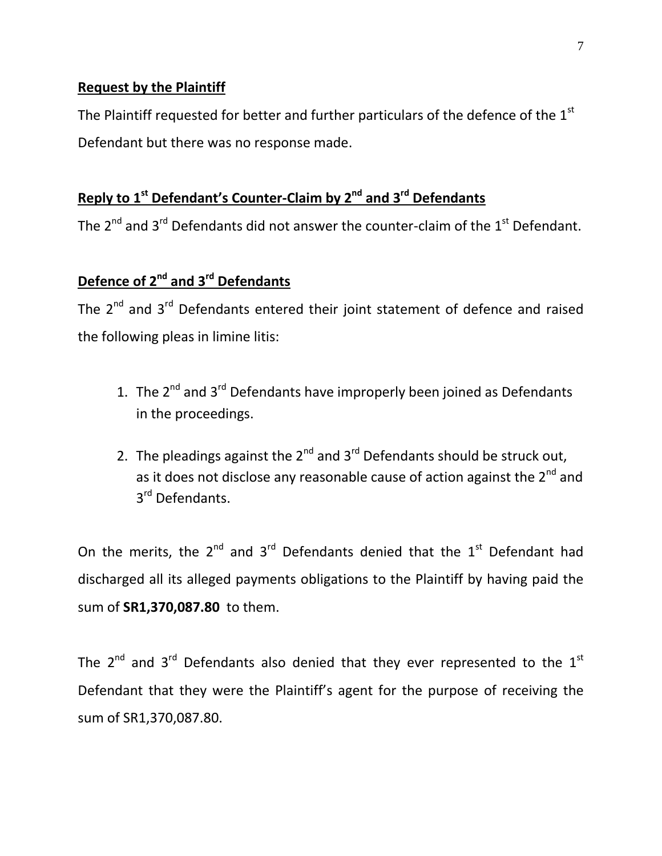### **Request by the Plaintiff**

The Plaintiff requested for better and further particulars of the defence of the 1<sup>st</sup> Defendant but there was no response made.

# **Reply to 1 st Defendant's Counter-Claim by 2nd and 3rd Defendants**

The 2<sup>nd</sup> and 3<sup>rd</sup> Defendants did not answer the counter-claim of the 1<sup>st</sup> Defendant.

# **Defence of 2nd and 3rd Defendants**

The  $2^{nd}$  and  $3^{rd}$  Defendants entered their joint statement of defence and raised the following pleas in limine litis:

- 1. The  $2^{nd}$  and  $3^{rd}$  Defendants have improperly been joined as Defendants in the proceedings.
- 2. The pleadings against the  $2^{nd}$  and  $3^{rd}$  Defendants should be struck out, as it does not disclose any reasonable cause of action against the  $2^{nd}$  and 3<sup>rd</sup> Defendants.

On the merits, the  $2^{nd}$  and  $3^{rd}$  Defendants denied that the  $1^{st}$  Defendant had discharged all its alleged payments obligations to the Plaintiff by having paid the sum of **SR1,370,087.80** to them.

The  $2^{nd}$  and  $3^{rd}$  Defendants also denied that they ever represented to the  $1^{st}$ Defendant that they were the Plaintiff's agent for the purpose of receiving the sum of SR1,370,087.80.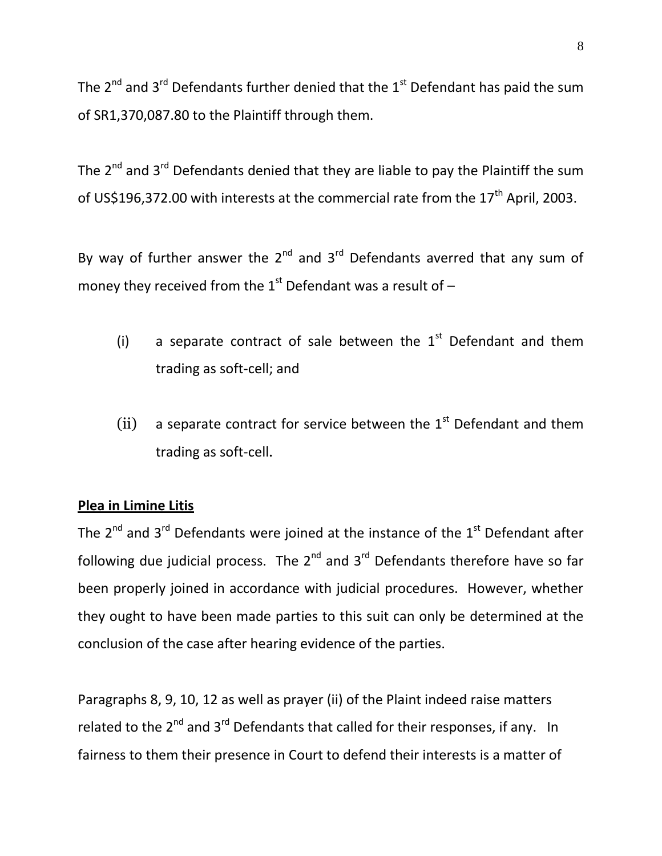The  $2^{nd}$  and  $3^{rd}$  Defendants further denied that the  $1^{st}$  Defendant has paid the sum of SR1,370,087.80 to the Plaintiff through them.

The  $2^{nd}$  and  $3^{rd}$  Defendants denied that they are liable to pay the Plaintiff the sum of US\$196,372.00 with interests at the commercial rate from the  $17<sup>th</sup>$  April, 2003.

By way of further answer the  $2^{nd}$  and  $3^{rd}$  Defendants averred that any sum of money they received from the  $1<sup>st</sup>$  Defendant was a result of  $-$ 

- (i) a separate contract of sale between the  $1<sup>st</sup>$  Defendant and them trading as soft-cell; and
- (ii) a separate contract for service between the  $1<sup>st</sup>$  Defendant and them trading as soft-cell.

## **Plea in Limine Litis**

The  $2^{nd}$  and  $3^{rd}$  Defendants were joined at the instance of the  $1^{st}$  Defendant after following due judicial process. The  $2^{nd}$  and  $3^{rd}$  Defendants therefore have so far been properly joined in accordance with judicial procedures. However, whether they ought to have been made parties to this suit can only be determined at the conclusion of the case after hearing evidence of the parties.

Paragraphs 8, 9, 10, 12 as well as prayer (ii) of the Plaint indeed raise matters related to the  $2^{nd}$  and  $3^{rd}$  Defendants that called for their responses, if any. In fairness to them their presence in Court to defend their interests is a matter of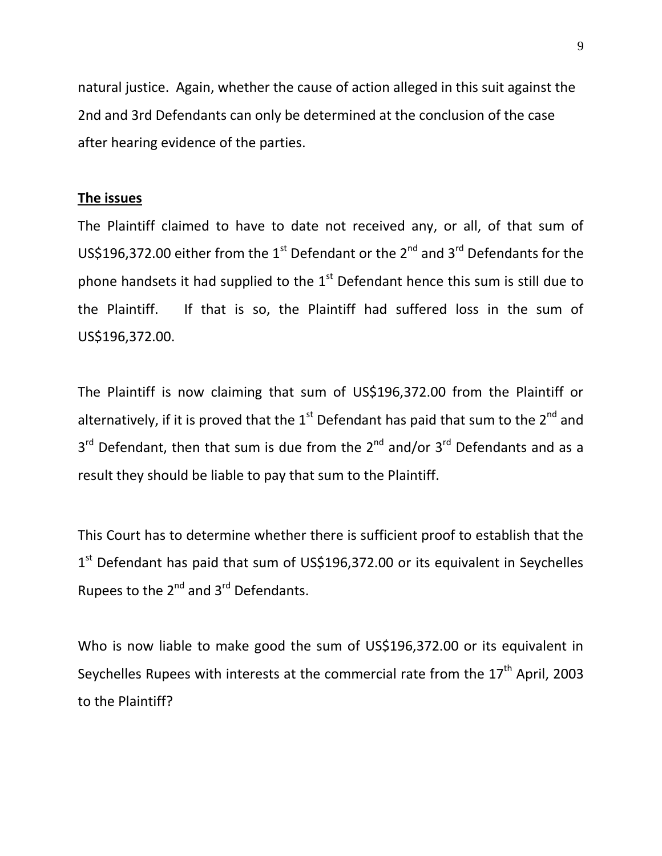natural justice. Again, whether the cause of action alleged in this suit against the 2nd and 3rd Defendants can only be determined at the conclusion of the case after hearing evidence of the parties.

#### **The issues**

The Plaintiff claimed to have to date not received any, or all, of that sum of US\$196,372.00 either from the 1<sup>st</sup> Defendant or the 2<sup>nd</sup> and 3<sup>rd</sup> Defendants for the phone handsets it had supplied to the  $1<sup>st</sup>$  Defendant hence this sum is still due to the Plaintiff. If that is so, the Plaintiff had suffered loss in the sum of US\$196,372.00.

The Plaintiff is now claiming that sum of US\$196,372.00 from the Plaintiff or alternatively, if it is proved that the  $1<sup>st</sup>$  Defendant has paid that sum to the  $2<sup>nd</sup>$  and 3<sup>rd</sup> Defendant, then that sum is due from the 2<sup>nd</sup> and/or 3<sup>rd</sup> Defendants and as a result they should be liable to pay that sum to the Plaintiff.

This Court has to determine whether there is sufficient proof to establish that the 1<sup>st</sup> Defendant has paid that sum of US\$196,372.00 or its equivalent in Seychelles Rupees to the  $2^{nd}$  and  $3^{rd}$  Defendants.

Who is now liable to make good the sum of US\$196,372.00 or its equivalent in Seychelles Rupees with interests at the commercial rate from the  $17<sup>th</sup>$  April, 2003 to the Plaintiff?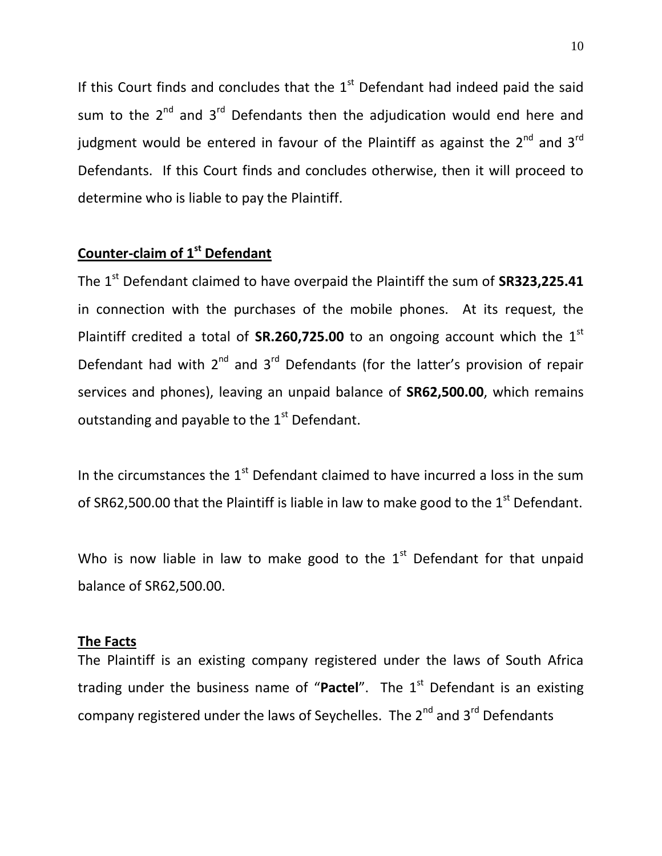If this Court finds and concludes that the  $1<sup>st</sup>$  Defendant had indeed paid the said sum to the  $2^{nd}$  and  $3^{rd}$  Defendants then the adjudication would end here and judgment would be entered in favour of the Plaintiff as against the  $2^{nd}$  and  $3^{rd}$ Defendants. If this Court finds and concludes otherwise, then it will proceed to determine who is liable to pay the Plaintiff.

## **Counter-claim of 1st Defendant**

The 1st Defendant claimed to have overpaid the Plaintiff the sum of **SR323,225.41** in connection with the purchases of the mobile phones. At its request, the Plaintiff credited a total of **SR.260,725.00** to an ongoing account which the 1<sup>st</sup> Defendant had with  $2^{nd}$  and  $3^{rd}$  Defendants (for the latter's provision of repair services and phones), leaving an unpaid balance of **SR62,500.00**, which remains outstanding and payable to the  $1<sup>st</sup>$  Defendant.

In the circumstances the  $1<sup>st</sup>$  Defendant claimed to have incurred a loss in the sum of SR62,500.00 that the Plaintiff is liable in law to make good to the  $1<sup>st</sup>$  Defendant.

Who is now liable in law to make good to the  $1<sup>st</sup>$  Defendant for that unpaid balance of SR62,500.00.

#### **The Facts**

The Plaintiff is an existing company registered under the laws of South Africa trading under the business name of "Pactel". The 1<sup>st</sup> Defendant is an existing company registered under the laws of Seychelles. The  $2^{nd}$  and  $3^{rd}$  Defendants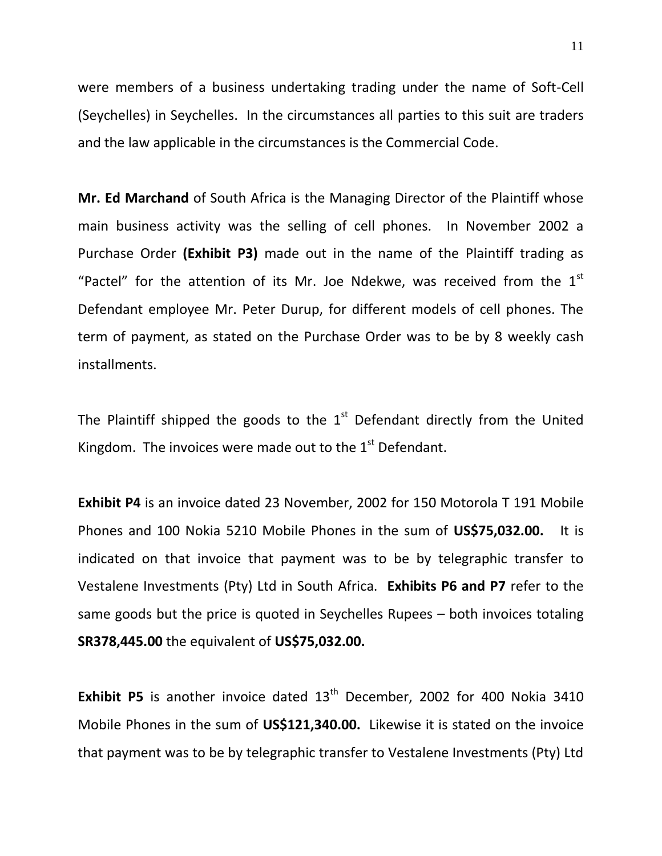were members of a business undertaking trading under the name of Soft-Cell (Seychelles) in Seychelles. In the circumstances all parties to this suit are traders and the law applicable in the circumstances is the Commercial Code.

**Mr. Ed Marchand** of South Africa is the Managing Director of the Plaintiff whose main business activity was the selling of cell phones. In November 2002 a Purchase Order **(Exhibit P3)** made out in the name of the Plaintiff trading as "Pactel" for the attention of its Mr. Joe Ndekwe, was received from the  $1<sup>st</sup>$ Defendant employee Mr. Peter Durup, for different models of cell phones. The term of payment, as stated on the Purchase Order was to be by 8 weekly cash installments.

The Plaintiff shipped the goods to the  $1<sup>st</sup>$  Defendant directly from the United Kingdom. The invoices were made out to the  $1<sup>st</sup>$  Defendant.

**Exhibit P4** is an invoice dated 23 November, 2002 for 150 Motorola T 191 Mobile Phones and 100 Nokia 5210 Mobile Phones in the sum of **US\$75,032.00.** It is indicated on that invoice that payment was to be by telegraphic transfer to Vestalene Investments (Pty) Ltd in South Africa. **Exhibits P6 and P7** refer to the same goods but the price is quoted in Seychelles Rupees – both invoices totaling **SR378,445.00** the equivalent of **US\$75,032.00.**

**Exhibit P5** is another invoice dated 13<sup>th</sup> December, 2002 for 400 Nokia 3410 Mobile Phones in the sum of **US\$121,340.00.** Likewise it is stated on the invoice that payment was to be by telegraphic transfer to Vestalene Investments (Pty) Ltd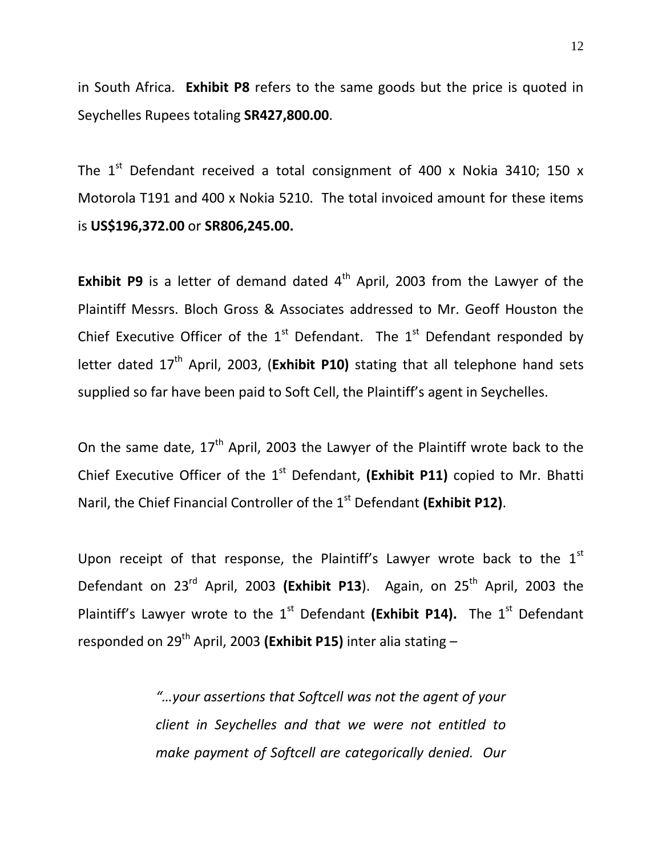in South Africa. **Exhibit P8** refers to the same goods but the price is quoted in Seychelles Rupees totaling **SR427,800.00**.

The  $1^{st}$  Defendant received a total consignment of 400 x Nokia 3410; 150 x Motorola T191 and 400 x Nokia 5210. The total invoiced amount for these items is **US\$196,372.00** or **SR806,245.00.**

**Exhibit P9** is a letter of demand dated 4<sup>th</sup> April, 2003 from the Lawyer of the Plaintiff Messrs. Bloch Gross & Associates addressed to Mr. Geoff Houston the Chief Executive Officer of the  $1<sup>st</sup>$  Defendant. The  $1<sup>st</sup>$  Defendant responded by letter dated 17<sup>th</sup> April, 2003, (**Exhibit P10**) stating that all telephone hand sets supplied so far have been paid to Soft Cell, the Plaintiff's agent in Seychelles.

On the same date,  $17<sup>th</sup>$  April, 2003 the Lawyer of the Plaintiff wrote back to the Chief Executive Officer of the 1<sup>st</sup> Defendant, (Exhibit P11) copied to Mr. Bhatti Naril, the Chief Financial Controller of the 1<sup>st</sup> Defendant (Exhibit P12).

Upon receipt of that response, the Plaintiff's Lawyer wrote back to the  $1<sup>st</sup>$ Defendant on 23rd April, 2003 **(Exhibit P13**). Again, on 25th April, 2003 the Plaintiff's Lawyer wrote to the 1<sup>st</sup> Defendant (Exhibit P14). The 1<sup>st</sup> Defendant responded on 29th April, 2003 **(Exhibit P15)** inter alia stating –

> *"…your assertions that Softcell was not the agent of your client in Seychelles and that we were not entitled to make payment of Softcell are categorically denied. Our*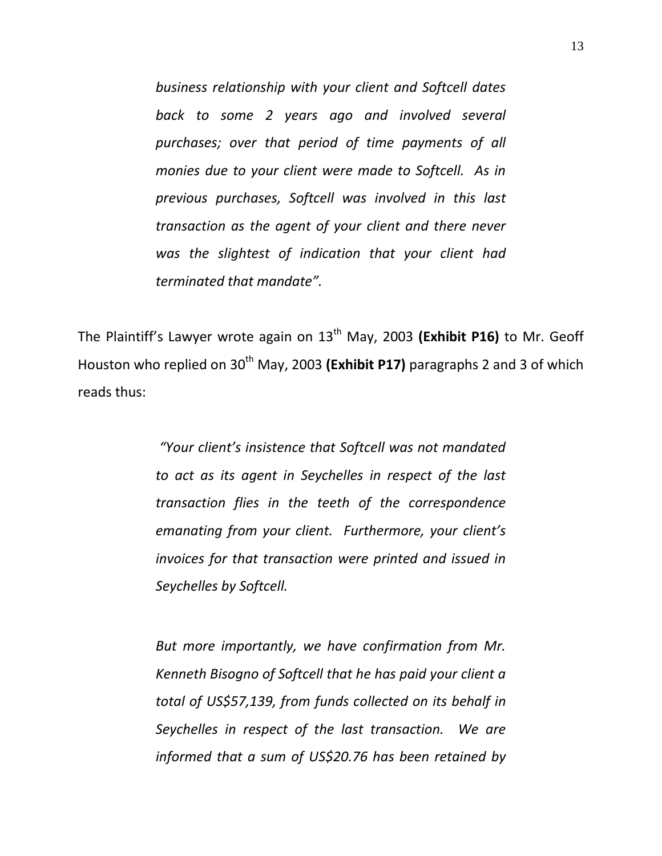*business relationship with your client and Softcell dates back to some 2 years ago and involved several purchases; over that period of time payments of all monies due to your client were made to Softcell. As in previous purchases, Softcell was involved in this last transaction as the agent of your client and there never was the slightest of indication that your client had terminated that mandate".* 

The Plaintiff's Lawyer wrote again on 13<sup>th</sup> May, 2003 (Exhibit P16) to Mr. Geoff Houston who replied on 30<sup>th</sup> May, 2003 (Exhibit P17) paragraphs 2 and 3 of which reads thus:

> *"Your client's insistence that Softcell was not mandated to act as its agent in Seychelles in respect of the last transaction flies in the teeth of the correspondence emanating from your client. Furthermore, your client's invoices for that transaction were printed and issued in Seychelles by Softcell.*

> *But more importantly, we have confirmation from Mr. Kenneth Bisogno of Softcell that he has paid your client a total of US\$57,139, from funds collected on its behalf in Seychelles in respect of the last transaction. We are informed that a sum of US\$20.76 has been retained by*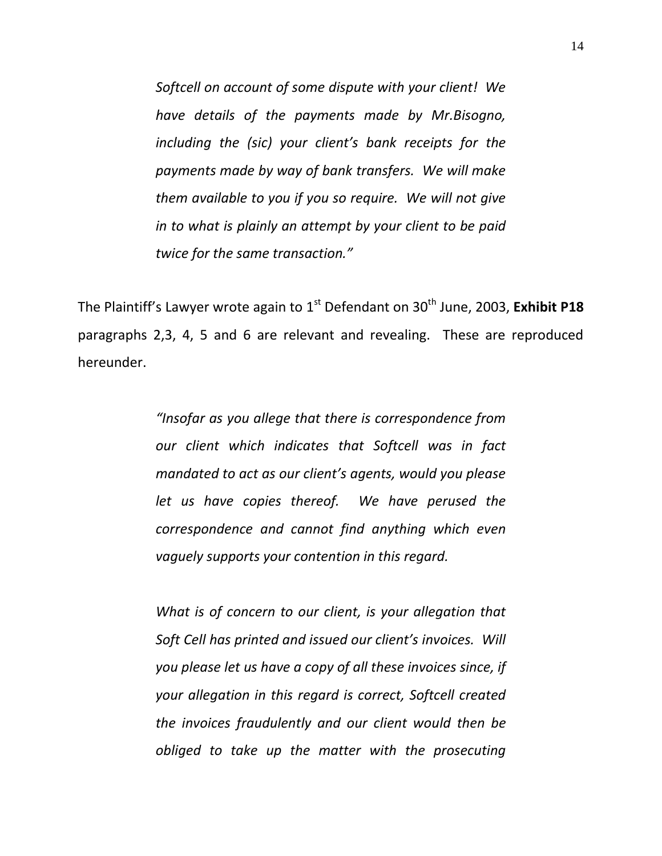*Softcell on account of some dispute with your client! We have details of the payments made by Mr.Bisogno, including the (sic) your client's bank receipts for the payments made by way of bank transfers. We will make them available to you if you so require. We will not give in to what is plainly an attempt by your client to be paid twice for the same transaction."*

The Plaintiff's Lawyer wrote again to 1<sup>st</sup> Defendant on 30<sup>th</sup> June, 2003, Exhibit P18 paragraphs 2,3, 4, 5 and 6 are relevant and revealing. These are reproduced hereunder.

> *"Insofar as you allege that there is correspondence from our client which indicates that Softcell was in fact mandated to act as our client's agents, would you please let us have copies thereof. We have perused the correspondence and cannot find anything which even vaguely supports your contention in this regard.*

> *What is of concern to our client, is your allegation that Soft Cell has printed and issued our client's invoices. Will you please let us have a copy of all these invoices since, if your allegation in this regard is correct, Softcell created the invoices fraudulently and our client would then be obliged to take up the matter with the prosecuting*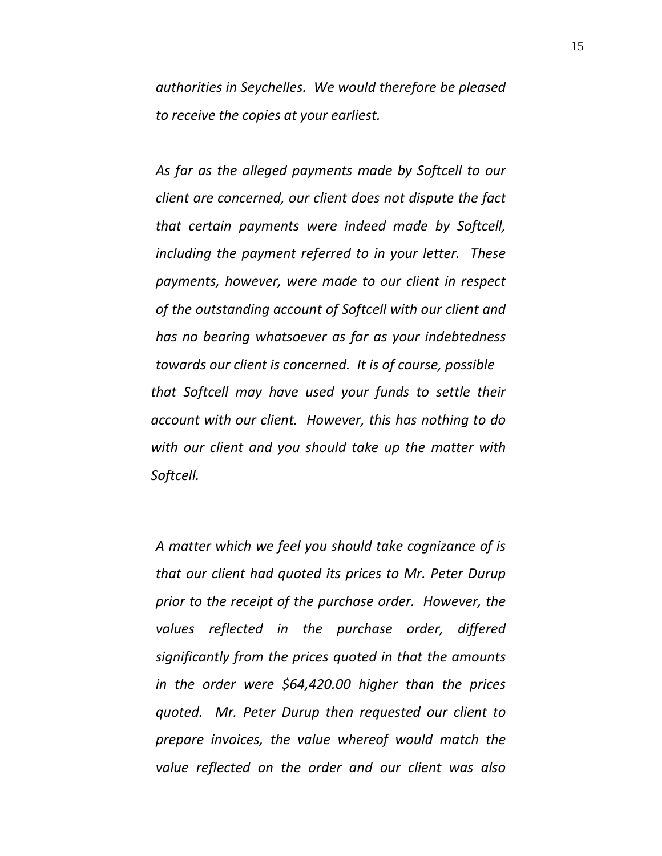*authorities in Seychelles. We would therefore be pleased to receive the copies at your earliest.*

*As far as the alleged payments made by Softcell to our client are concerned, our client does not dispute the fact that certain payments were indeed made by Softcell, including the payment referred to in your letter. These payments, however, were made to our client in respect of the outstanding account of Softcell with our client and has no bearing whatsoever as far as your indebtedness towards our client is concerned. It is of course, possible that Softcell may have used your funds to settle their account with our client. However, this has nothing to do with our client and you should take up the matter with Softcell.*

*A matter which we feel you should take cognizance of is that our client had quoted its prices to Mr. Peter Durup prior to the receipt of the purchase order. However, the values reflected in the purchase order, differed significantly from the prices quoted in that the amounts in the order were \$64,420.00 higher than the prices quoted. Mr. Peter Durup then requested our client to prepare invoices, the value whereof would match the value reflected on the order and our client was also*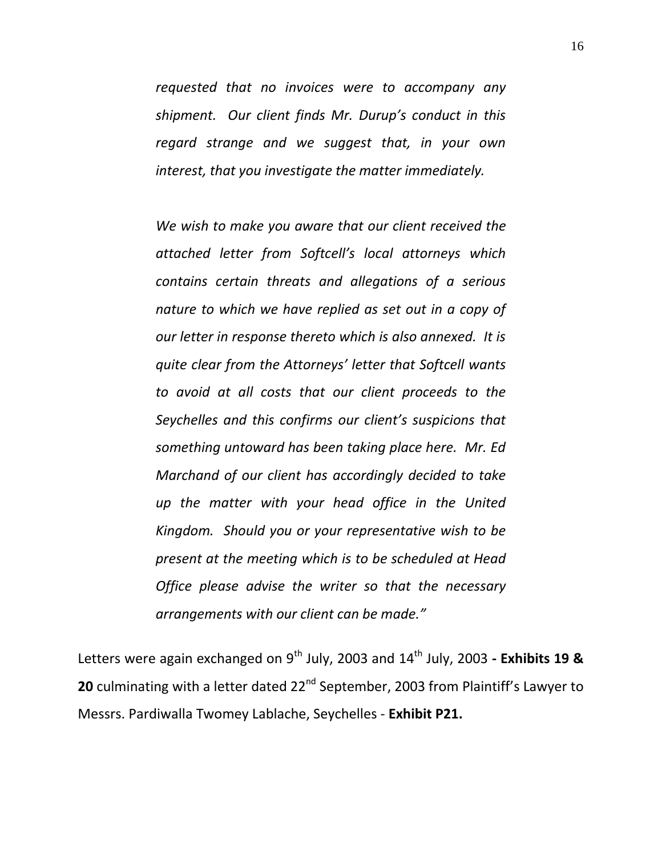*requested that no invoices were to accompany any shipment. Our client finds Mr. Durup's conduct in this regard strange and we suggest that, in your own interest, that you investigate the matter immediately.*

*We wish to make you aware that our client received the attached letter from Softcell's local attorneys which contains certain threats and allegations of a serious nature to which we have replied as set out in a copy of our letter in response thereto which is also annexed. It is quite clear from the Attorneys' letter that Softcell wants to avoid at all costs that our client proceeds to the Seychelles and this confirms our client's suspicions that something untoward has been taking place here. Mr. Ed Marchand of our client has accordingly decided to take up the matter with your head office in the United Kingdom. Should you or your representative wish to be present at the meeting which is to be scheduled at Head Office please advise the writer so that the necessary arrangements with our client can be made."*

Letters were again exchanged on 9<sup>th</sup> July, 2003 and 14<sup>th</sup> July, 2003 - Exhibits 19 & **20** culminating with a letter dated 22<sup>nd</sup> September, 2003 from Plaintiff's Lawyer to Messrs. Pardiwalla Twomey Lablache, Seychelles - **Exhibit P21.**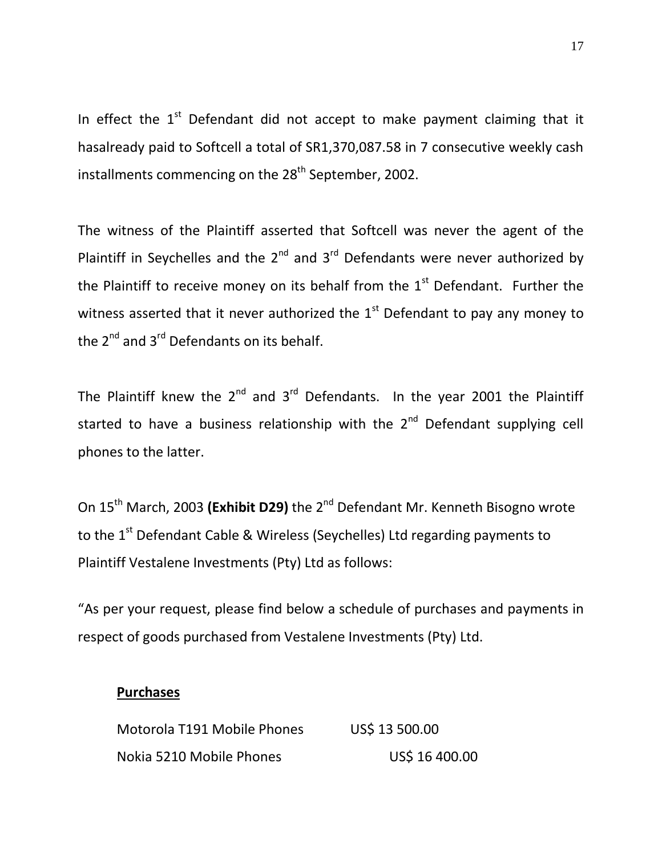In effect the  $1<sup>st</sup>$  Defendant did not accept to make payment claiming that it hasalready paid to Softcell a total of SR1,370,087.58 in 7 consecutive weekly cash installments commencing on the 28<sup>th</sup> September, 2002.

The witness of the Plaintiff asserted that Softcell was never the agent of the Plaintiff in Seychelles and the  $2^{nd}$  and  $3^{rd}$  Defendants were never authorized by the Plaintiff to receive money on its behalf from the  $1<sup>st</sup>$  Defendant. Further the witness asserted that it never authorized the  $1<sup>st</sup>$  Defendant to pay any money to the  $2^{nd}$  and  $3^{rd}$  Defendants on its behalf.

The Plaintiff knew the  $2^{nd}$  and  $3^{rd}$  Defendants. In the year 2001 the Plaintiff started to have a business relationship with the  $2^{nd}$  Defendant supplying cell phones to the latter.

On 15<sup>th</sup> March, 2003 (Exhibit D29) the 2<sup>nd</sup> Defendant Mr. Kenneth Bisogno wrote to the 1<sup>st</sup> Defendant Cable & Wireless (Seychelles) Ltd regarding payments to Plaintiff Vestalene Investments (Pty) Ltd as follows:

"As per your request, please find below a schedule of purchases and payments in respect of goods purchased from Vestalene Investments (Pty) Ltd.

### **Purchases**

Motorola T191 Mobile Phones US\$ 13 500.00 Nokia 5210 Mobile Phones US\$ 16 400.00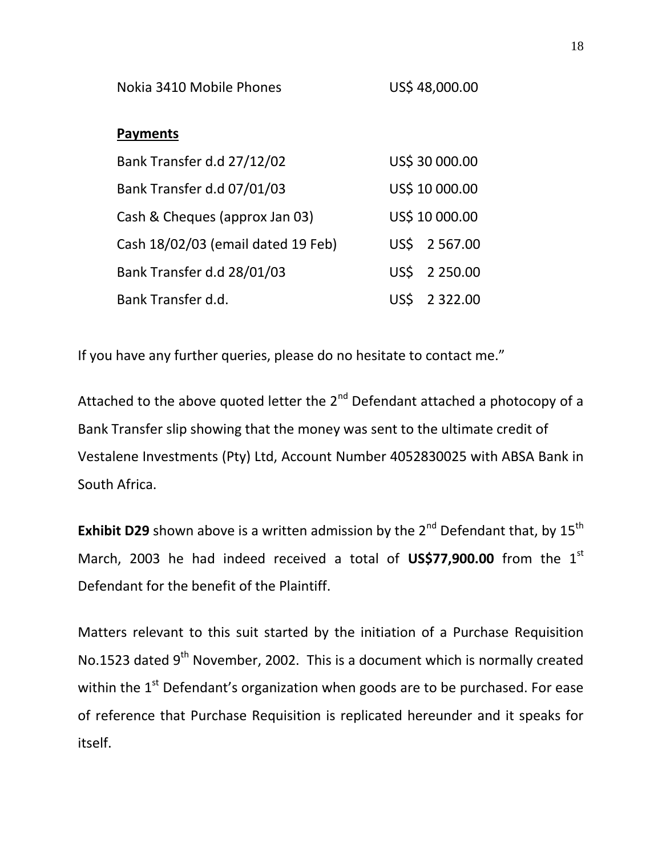Nokia 3410 Mobile Phones US\$ 48,000.00

### **Payments**

| Bank Transfer d.d 27/12/02         | US\$ 30 000.00 |
|------------------------------------|----------------|
| Bank Transfer d.d 07/01/03         | US\$ 10 000.00 |
| Cash & Cheques (approx Jan 03)     | US\$ 10 000.00 |
| Cash 18/02/03 (email dated 19 Feb) | US\$ 2 567.00  |
| Bank Transfer d.d 28/01/03         | US\$ 2 250.00  |
| Bank Transfer d.d.                 | US\$ 2 322.00  |

If you have any further queries, please do no hesitate to contact me."

Attached to the above quoted letter the 2<sup>nd</sup> Defendant attached a photocopy of a Bank Transfer slip showing that the money was sent to the ultimate credit of Vestalene Investments (Pty) Ltd, Account Number 4052830025 with ABSA Bank in South Africa.

**Exhibit D29** shown above is a written admission by the  $2^{nd}$  Defendant that, by  $15^{th}$ March, 2003 he had indeed received a total of **US\$77,900.00** from the 1<sup>st</sup> Defendant for the benefit of the Plaintiff.

Matters relevant to this suit started by the initiation of a Purchase Requisition No.1523 dated 9<sup>th</sup> November, 2002. This is a document which is normally created within the  $1<sup>st</sup>$  Defendant's organization when goods are to be purchased. For ease of reference that Purchase Requisition is replicated hereunder and it speaks for itself.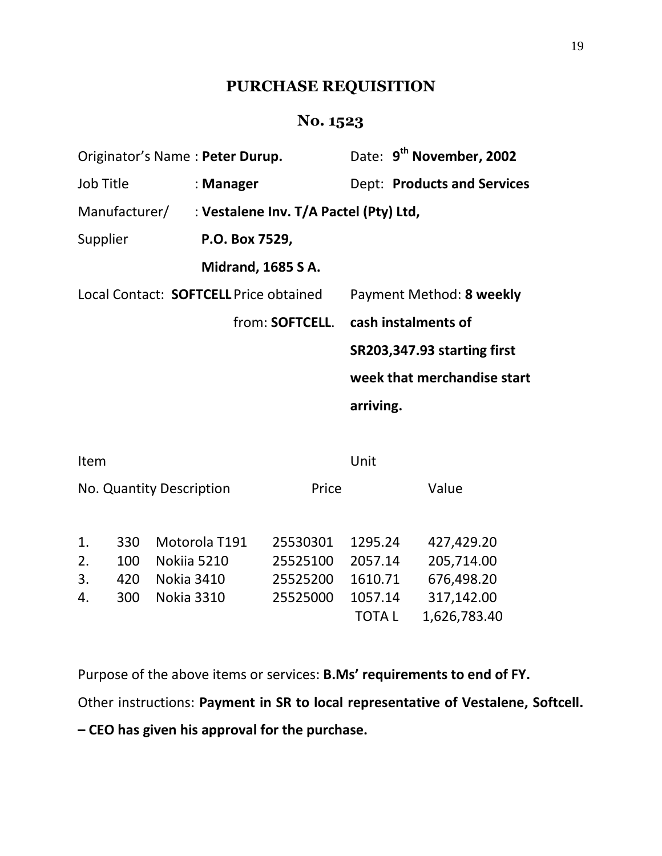# **PURCHASE REQUISITION**

# **No. 1523**

| Originator's Name: Peter Durup. |                                                      | Date: 9 <sup>th</sup> November, 2002 |  |
|---------------------------------|------------------------------------------------------|--------------------------------------|--|
| Job Title                       | : Manager                                            | <b>Dept: Products and Services</b>   |  |
|                                 | Manufacturer/ : Vestalene Inv. T/A Pactel (Pty) Ltd, |                                      |  |
| Supplier                        | P.O. Box 7529,                                       |                                      |  |
|                                 | <b>Midrand, 1685 S A.</b>                            |                                      |  |
|                                 | Local Contact: SOFTCELL Price obtained               | Payment Method: 8 weekly             |  |
|                                 | from: SOFTCELL.                                      | cash instalments of                  |  |
|                                 |                                                      | SR203,347.93 starting first          |  |
|                                 |                                                      | week that merchandise start          |  |
|                                 |                                                      | arriving.                            |  |
|                                 |                                                      |                                      |  |

| Item |     |                          |          | Unit         |              |
|------|-----|--------------------------|----------|--------------|--------------|
|      |     | No. Quantity Description | Price    |              | Value        |
| 1.   | 330 | Motorola T191            | 25530301 | 1295.24      | 427,429.20   |
| 2.   | 100 | Nokija 5210              | 25525100 | 2057.14      | 205,714.00   |
| 3.   | 420 | <b>Nokia 3410</b>        | 25525200 | 1610.71      | 676,498.20   |
| 4.   | 300 | <b>Nokia 3310</b>        | 25525000 | 1057.14      | 317,142.00   |
|      |     |                          |          | <b>TOTAL</b> | 1,626,783.40 |

Purpose of the above items or services: **B.Ms' requirements to end of FY.** Other instructions: **Payment in SR to local representative of Vestalene, Softcell.** 

**– CEO has given his approval for the purchase.**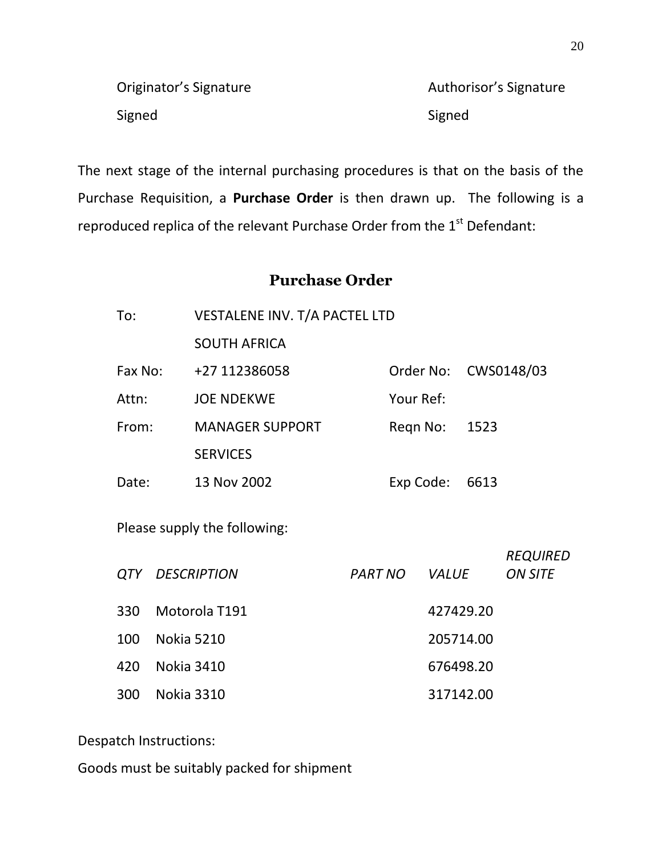| Originator's Signature | Authorisor's Signature |
|------------------------|------------------------|
| Signed                 | Signed                 |

The next stage of the internal purchasing procedures is that on the basis of the Purchase Requisition, a **Purchase Order** is then drawn up. The following is a reproduced replica of the relevant Purchase Order from the 1<sup>st</sup> Defendant:

## **Purchase Order**

| VESTALENE INV. T/A PACTEL LTD<br>To: |                                |                              |           |           |              |                |                                   |
|--------------------------------------|--------------------------------|------------------------------|-----------|-----------|--------------|----------------|-----------------------------------|
|                                      |                                | <b>SOUTH AFRICA</b>          |           |           |              |                |                                   |
| Fax No:                              |                                | +27 112386058                |           |           |              |                | Order No: CWS0148/03              |
| Attn:                                |                                | <b>JOE NDEKWE</b>            |           | Your Ref: |              |                |                                   |
| From:                                |                                | <b>MANAGER SUPPORT</b>       |           |           | Regn No:     | 1523           |                                   |
|                                      |                                | <b>SERVICES</b>              |           |           |              |                |                                   |
| Date:                                |                                | 13 Nov 2002                  |           |           |              | Exp Code: 6613 |                                   |
|                                      |                                | Please supply the following: |           |           |              |                |                                   |
| QTY                                  |                                | <b>DESCRIPTION</b>           | PART NO   |           | <i>VALUE</i> |                | <b>REQUIRED</b><br><b>ON SITE</b> |
| 330                                  | Motorola T191<br>427429.20     |                              |           |           |              |                |                                   |
| 100                                  | <b>Nokia 5210</b><br>205714.00 |                              |           |           |              |                |                                   |
| 420                                  |                                | <b>Nokia 3410</b>            | 676498.20 |           |              |                |                                   |
| 300                                  |                                | <b>Nokia 3310</b>            |           |           |              | 317142.00      |                                   |

Despatch Instructions:

Goods must be suitably packed for shipment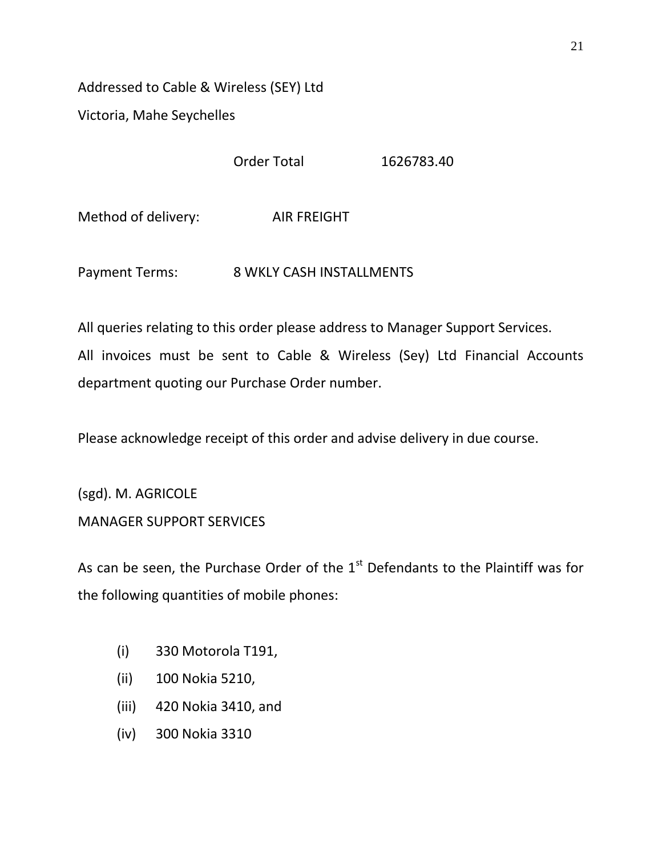Addressed to Cable & Wireless (SEY) Ltd Victoria, Mahe Seychelles

Order Total 1626783.40

Method of delivery: AIR FREIGHT

Payment Terms: 8 WKLY CASH INSTALLMENTS

All queries relating to this order please address to Manager Support Services. All invoices must be sent to Cable & Wireless (Sey) Ltd Financial Accounts department quoting our Purchase Order number.

Please acknowledge receipt of this order and advise delivery in due course.

(sgd). M. AGRICOLE MANAGER SUPPORT SERVICES

As can be seen, the Purchase Order of the  $1<sup>st</sup>$  Defendants to the Plaintiff was for the following quantities of mobile phones:

- (i) 330 Motorola T191,
- (ii) 100 Nokia 5210,
- (iii) 420 Nokia 3410, and
- (iv) 300 Nokia 3310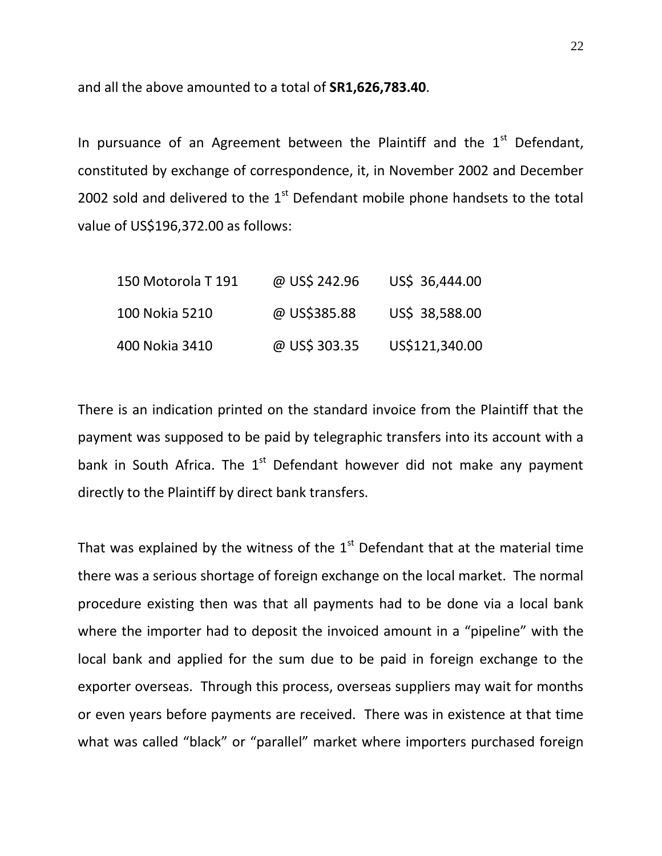and all the above amounted to a total of **SR1,626,783.40**.

In pursuance of an Agreement between the Plaintiff and the  $1<sup>st</sup>$  Defendant, constituted by exchange of correspondence, it, in November 2002 and December 2002 sold and delivered to the  $1<sup>st</sup>$  Defendant mobile phone handsets to the total value of US\$196,372.00 as follows:

| 150 Motorola T 191 | @ US\$ 242.96 | US\$ 36,444.00 |
|--------------------|---------------|----------------|
| 100 Nokia 5210     | @ US\$385.88  | US\$ 38,588.00 |
| 400 Nokia 3410     | @ US\$ 303.35 | US\$121,340.00 |

There is an indication printed on the standard invoice from the Plaintiff that the payment was supposed to be paid by telegraphic transfers into its account with a bank in South Africa. The  $1<sup>st</sup>$  Defendant however did not make any payment directly to the Plaintiff by direct bank transfers.

That was explained by the witness of the  $1<sup>st</sup>$  Defendant that at the material time there was a serious shortage of foreign exchange on the local market. The normal procedure existing then was that all payments had to be done via a local bank where the importer had to deposit the invoiced amount in a "pipeline" with the local bank and applied for the sum due to be paid in foreign exchange to the exporter overseas. Through this process, overseas suppliers may wait for months or even years before payments are received. There was in existence at that time what was called "black" or "parallel" market where importers purchased foreign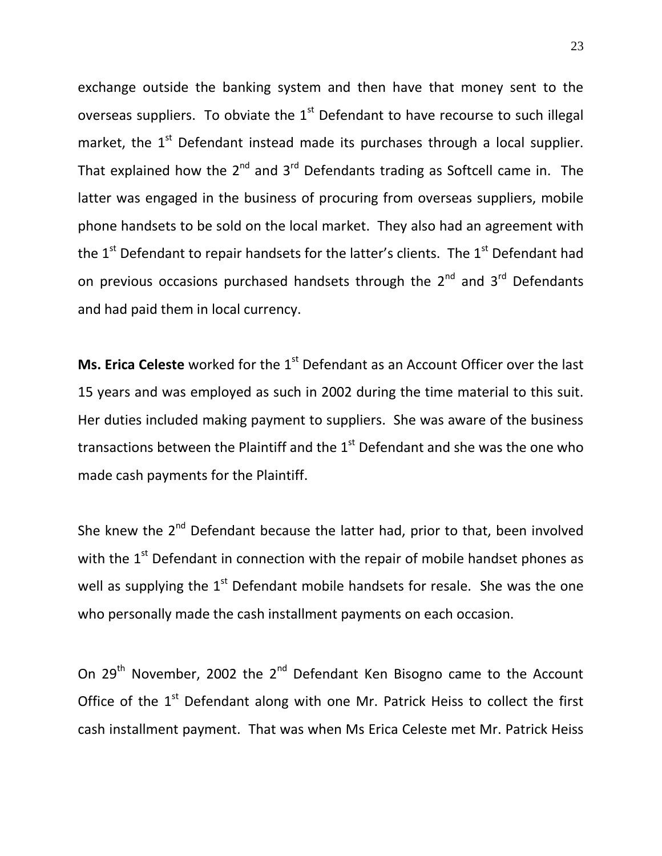exchange outside the banking system and then have that money sent to the overseas suppliers. To obviate the  $1<sup>st</sup>$  Defendant to have recourse to such illegal market, the  $1<sup>st</sup>$  Defendant instead made its purchases through a local supplier. That explained how the  $2^{nd}$  and  $3^{rd}$  Defendants trading as Softcell came in. The latter was engaged in the business of procuring from overseas suppliers, mobile phone handsets to be sold on the local market. They also had an agreement with the  $1<sup>st</sup>$  Defendant to repair handsets for the latter's clients. The  $1<sup>st</sup>$  Defendant had on previous occasions purchased handsets through the  $2^{nd}$  and  $3^{rd}$  Defendants and had paid them in local currency.

**Ms. Erica Celeste** worked for the 1<sup>st</sup> Defendant as an Account Officer over the last 15 years and was employed as such in 2002 during the time material to this suit. Her duties included making payment to suppliers. She was aware of the business transactions between the Plaintiff and the  $1<sup>st</sup>$  Defendant and she was the one who made cash payments for the Plaintiff.

She knew the 2<sup>nd</sup> Defendant because the latter had, prior to that, been involved with the  $1<sup>st</sup>$  Defendant in connection with the repair of mobile handset phones as well as supplying the  $1<sup>st</sup>$  Defendant mobile handsets for resale. She was the one who personally made the cash installment payments on each occasion.

On 29<sup>th</sup> November, 2002 the 2<sup>nd</sup> Defendant Ken Bisogno came to the Account Office of the  $1<sup>st</sup>$  Defendant along with one Mr. Patrick Heiss to collect the first cash installment payment. That was when Ms Erica Celeste met Mr. Patrick Heiss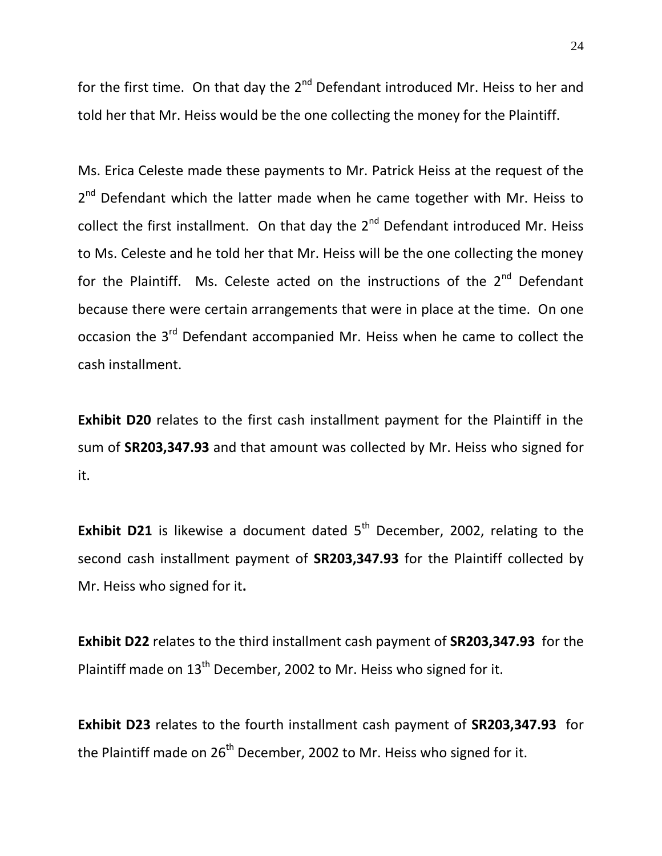24

for the first time. On that day the  $2^{nd}$  Defendant introduced Mr. Heiss to her and told her that Mr. Heiss would be the one collecting the money for the Plaintiff.

Ms. Erica Celeste made these payments to Mr. Patrick Heiss at the request of the 2<sup>nd</sup> Defendant which the latter made when he came together with Mr. Heiss to collect the first installment. On that day the  $2^{nd}$  Defendant introduced Mr. Heiss to Ms. Celeste and he told her that Mr. Heiss will be the one collecting the money for the Plaintiff. Ms. Celeste acted on the instructions of the  $2^{nd}$  Defendant because there were certain arrangements that were in place at the time. On one occasion the 3<sup>rd</sup> Defendant accompanied Mr. Heiss when he came to collect the cash installment.

**Exhibit D20** relates to the first cash installment payment for the Plaintiff in the sum of **SR203,347.93** and that amount was collected by Mr. Heiss who signed for it.

**Exhibit D21** is likewise a document dated  $5<sup>th</sup>$  December, 2002, relating to the second cash installment payment of **SR203,347.93** for the Plaintiff collected by Mr. Heiss who signed for it**.** 

**Exhibit D22** relates to the third installment cash payment of **SR203,347.93** for the Plaintiff made on 13<sup>th</sup> December, 2002 to Mr. Heiss who signed for it.

**Exhibit D23** relates to the fourth installment cash payment of **SR203,347.93** for the Plaintiff made on  $26<sup>th</sup>$  December, 2002 to Mr. Heiss who signed for it.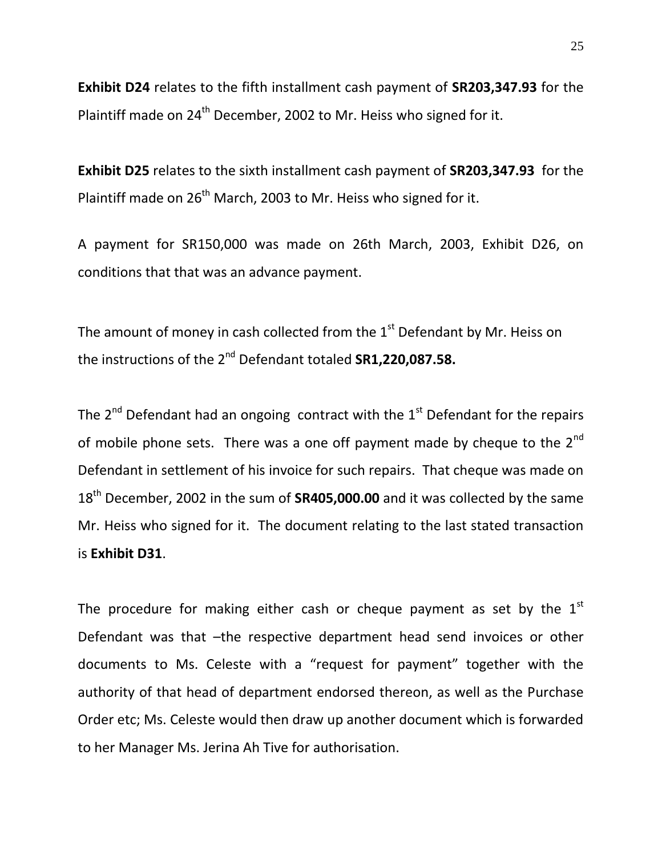**Exhibit D24** relates to the fifth installment cash payment of **SR203,347.93** for the Plaintiff made on 24<sup>th</sup> December, 2002 to Mr. Heiss who signed for it.

**Exhibit D25** relates to the sixth installment cash payment of **SR203,347.93** for the Plaintiff made on 26<sup>th</sup> March, 2003 to Mr. Heiss who signed for it.

A payment for SR150,000 was made on 26th March, 2003, Exhibit D26, on conditions that that was an advance payment.

The amount of money in cash collected from the  $1<sup>st</sup>$  Defendant by Mr. Heiss on the instructions of the 2nd Defendant totaled **SR1,220,087.58.**

The  $2^{nd}$  Defendant had an ongoing contract with the  $1^{st}$  Defendant for the repairs of mobile phone sets. There was a one off payment made by cheque to the  $2^{nd}$ Defendant in settlement of his invoice for such repairs. That cheque was made on 18th December, 2002 in the sum of **SR405,000.00** and it was collected by the same Mr. Heiss who signed for it. The document relating to the last stated transaction is **Exhibit D31**.

The procedure for making either cash or cheque payment as set by the  $1<sup>st</sup>$ Defendant was that –the respective department head send invoices or other documents to Ms. Celeste with a "request for payment" together with the authority of that head of department endorsed thereon, as well as the Purchase Order etc; Ms. Celeste would then draw up another document which is forwarded to her Manager Ms. Jerina Ah Tive for authorisation.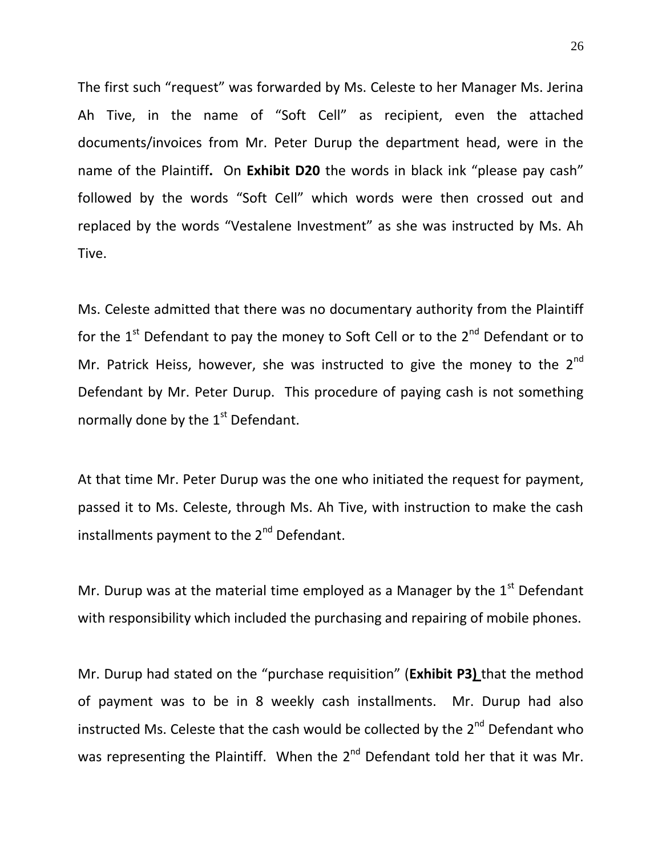The first such "request" was forwarded by Ms. Celeste to her Manager Ms. Jerina Ah Tive, in the name of "Soft Cell" as recipient, even the attached documents/invoices from Mr. Peter Durup the department head, were in the name of the Plaintiff**.** On **Exhibit D20** the words in black ink "please pay cash" followed by the words "Soft Cell" which words were then crossed out and replaced by the words "Vestalene Investment" as she was instructed by Ms. Ah Tive.

Ms. Celeste admitted that there was no documentary authority from the Plaintiff for the  $1<sup>st</sup>$  Defendant to pay the money to Soft Cell or to the  $2<sup>nd</sup>$  Defendant or to Mr. Patrick Heiss, however, she was instructed to give the money to the  $2^{nd}$ Defendant by Mr. Peter Durup. This procedure of paying cash is not something normally done by the  $1<sup>st</sup>$  Defendant.

At that time Mr. Peter Durup was the one who initiated the request for payment, passed it to Ms. Celeste, through Ms. Ah Tive, with instruction to make the cash installments payment to the 2<sup>nd</sup> Defendant.

Mr. Durup was at the material time employed as a Manager by the  $1<sup>st</sup>$  Defendant with responsibility which included the purchasing and repairing of mobile phones.

Mr. Durup had stated on the "purchase requisition" (**Exhibit P3)** that the method of payment was to be in 8 weekly cash installments. Mr. Durup had also instructed Ms. Celeste that the cash would be collected by the  $2^{nd}$  Defendant who was representing the Plaintiff. When the  $2^{nd}$  Defendant told her that it was Mr.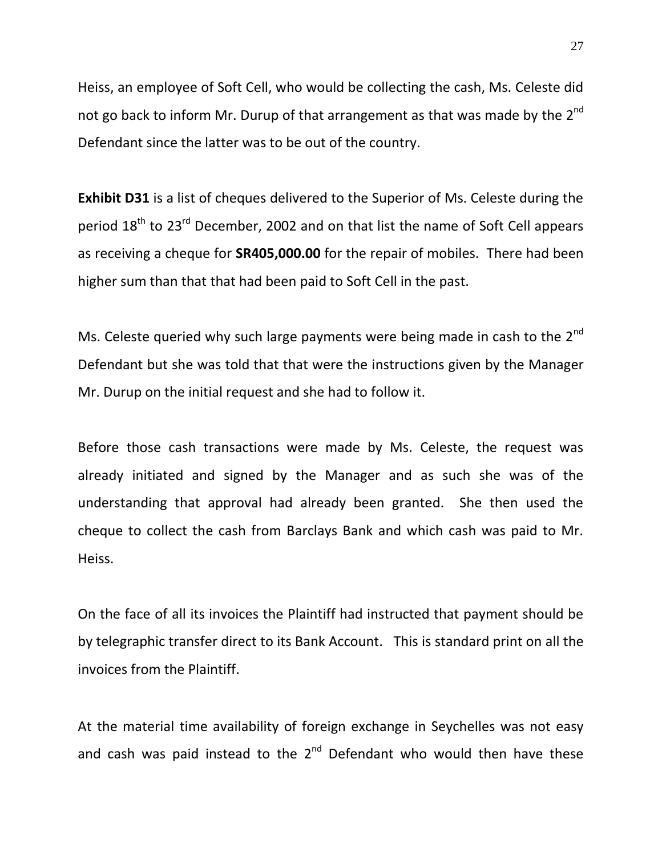Heiss, an employee of Soft Cell, who would be collecting the cash, Ms. Celeste did not go back to inform Mr. Durup of that arrangement as that was made by the 2<sup>nd</sup> Defendant since the latter was to be out of the country.

**Exhibit D31** is a list of cheques delivered to the Superior of Ms. Celeste during the period 18<sup>th</sup> to 23<sup>rd</sup> December, 2002 and on that list the name of Soft Cell appears as receiving a cheque for **SR405,000.00** for the repair of mobiles. There had been higher sum than that that had been paid to Soft Cell in the past.

Ms. Celeste queried why such large payments were being made in cash to the 2<sup>nd</sup> Defendant but she was told that that were the instructions given by the Manager Mr. Durup on the initial request and she had to follow it.

Before those cash transactions were made by Ms. Celeste, the request was already initiated and signed by the Manager and as such she was of the understanding that approval had already been granted. She then used the cheque to collect the cash from Barclays Bank and which cash was paid to Mr. Heiss.

On the face of all its invoices the Plaintiff had instructed that payment should be by telegraphic transfer direct to its Bank Account. This is standard print on all the invoices from the Plaintiff.

At the material time availability of foreign exchange in Seychelles was not easy and cash was paid instead to the  $2^{nd}$  Defendant who would then have these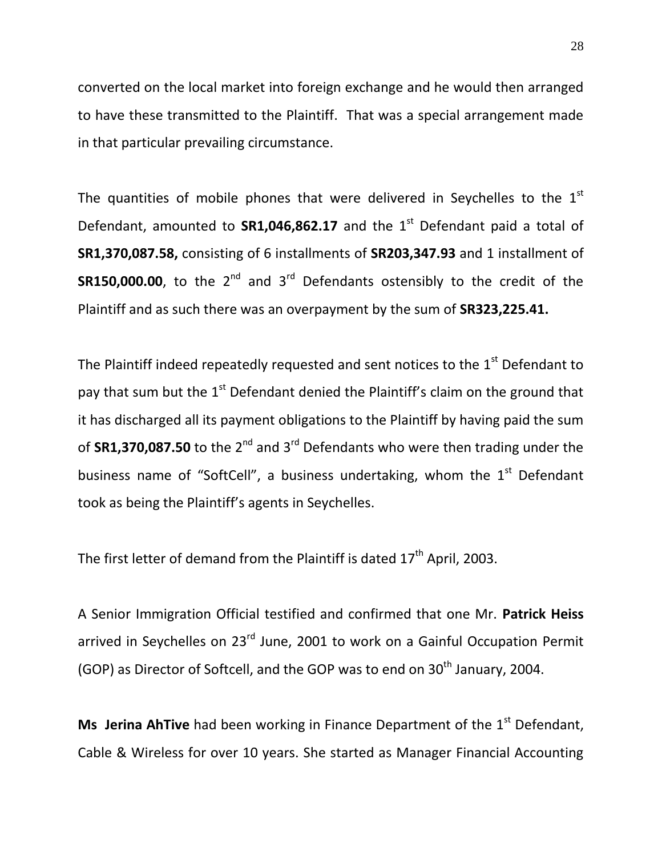converted on the local market into foreign exchange and he would then arranged to have these transmitted to the Plaintiff. That was a special arrangement made in that particular prevailing circumstance.

The quantities of mobile phones that were delivered in Seychelles to the  $1<sup>st</sup>$ Defendant, amounted to **SR1,046,862.17** and the 1<sup>st</sup> Defendant paid a total of **SR1,370,087.58,** consisting of 6 installments of **SR203,347.93** and 1 installment of **SR150,000.00**, to the  $2^{nd}$  and  $3^{rd}$  Defendants ostensibly to the credit of the Plaintiff and as such there was an overpayment by the sum of **SR323,225.41.**

The Plaintiff indeed repeatedly requested and sent notices to the  $1<sup>st</sup>$  Defendant to pay that sum but the  $1<sup>st</sup>$  Defendant denied the Plaintiff's claim on the ground that it has discharged all its payment obligations to the Plaintiff by having paid the sum of **SR1,370,087.50** to the 2<sup>nd</sup> and 3<sup>rd</sup> Defendants who were then trading under the business name of "SoftCell", a business undertaking, whom the  $1<sup>st</sup>$  Defendant took as being the Plaintiff's agents in Seychelles.

The first letter of demand from the Plaintiff is dated  $17<sup>th</sup>$  April, 2003.

A Senior Immigration Official testified and confirmed that one Mr. **Patrick Heiss** arrived in Seychelles on 23<sup>rd</sup> June, 2001 to work on a Gainful Occupation Permit (GOP) as Director of Softcell, and the GOP was to end on  $30<sup>th</sup>$  January, 2004.

**Ms Jerina AhTive** had been working in Finance Department of the 1<sup>st</sup> Defendant, Cable & Wireless for over 10 years. She started as Manager Financial Accounting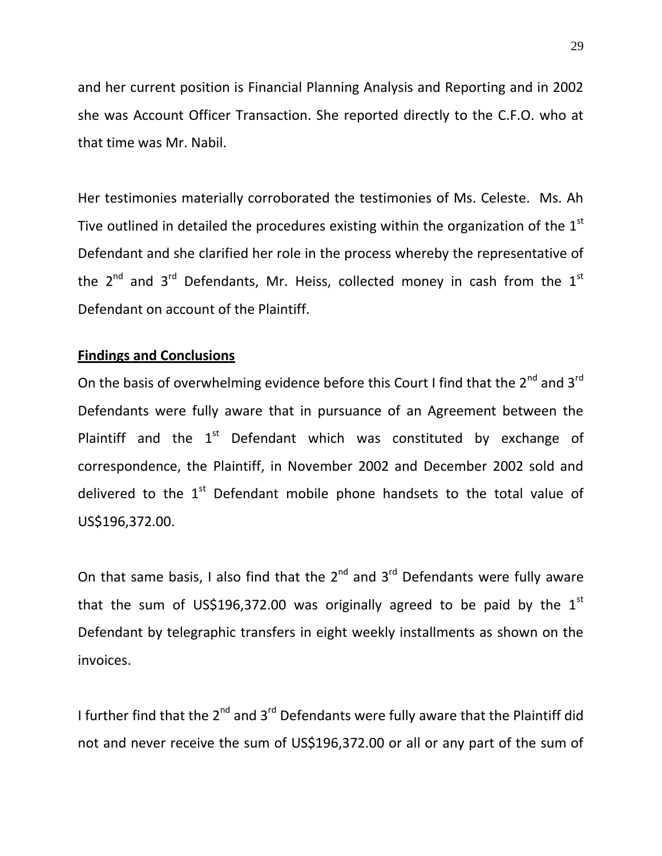and her current position is Financial Planning Analysis and Reporting and in 2002 she was Account Officer Transaction. She reported directly to the C.F.O. who at that time was Mr. Nabil.

Her testimonies materially corroborated the testimonies of Ms. Celeste. Ms. Ah Tive outlined in detailed the procedures existing within the organization of the  $1<sup>st</sup>$ Defendant and she clarified her role in the process whereby the representative of the  $2^{nd}$  and  $3^{rd}$  Defendants, Mr. Heiss, collected money in cash from the  $1^{st}$ Defendant on account of the Plaintiff.

#### **Findings and Conclusions**

On the basis of overwhelming evidence before this Court I find that the  $2^{nd}$  and  $3^{rd}$ Defendants were fully aware that in pursuance of an Agreement between the Plaintiff and the  $1<sup>st</sup>$  Defendant which was constituted by exchange of correspondence, the Plaintiff, in November 2002 and December 2002 sold and delivered to the  $1<sup>st</sup>$  Defendant mobile phone handsets to the total value of US\$196,372.00.

On that same basis, I also find that the  $2^{nd}$  and  $3^{rd}$  Defendants were fully aware that the sum of US\$196,372.00 was originally agreed to be paid by the  $1^{st}$ Defendant by telegraphic transfers in eight weekly installments as shown on the invoices.

I further find that the  $2^{nd}$  and  $3^{rd}$  Defendants were fully aware that the Plaintiff did not and never receive the sum of US\$196,372.00 or all or any part of the sum of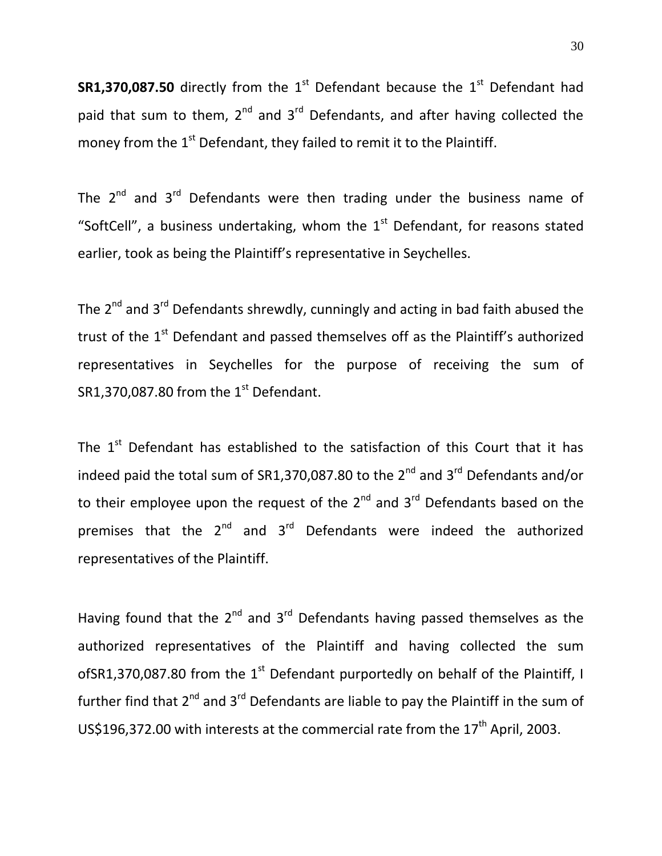**SR1,370,087.50** directly from the  $1<sup>st</sup>$  Defendant because the  $1<sup>st</sup>$  Defendant had paid that sum to them,  $2^{nd}$  and  $3^{rd}$  Defendants, and after having collected the money from the 1<sup>st</sup> Defendant, they failed to remit it to the Plaintiff.

The  $2^{nd}$  and  $3^{rd}$  Defendants were then trading under the business name of "SoftCell", a business undertaking, whom the  $1<sup>st</sup>$  Defendant, for reasons stated earlier, took as being the Plaintiff's representative in Seychelles.

The  $2^{nd}$  and  $3^{rd}$  Defendants shrewdly, cunningly and acting in bad faith abused the trust of the  $1<sup>st</sup>$  Defendant and passed themselves off as the Plaintiff's authorized representatives in Seychelles for the purpose of receiving the sum of SR1,370,087.80 from the  $1<sup>st</sup>$  Defendant.

The  $1<sup>st</sup>$  Defendant has established to the satisfaction of this Court that it has indeed paid the total sum of SR1,370,087.80 to the  $2^{nd}$  and  $3^{rd}$  Defendants and/or to their employee upon the request of the  $2^{nd}$  and  $3^{rd}$  Defendants based on the premises that the  $2^{nd}$  and  $3^{rd}$  Defendants were indeed the authorized representatives of the Plaintiff.

Having found that the  $2^{nd}$  and  $3^{rd}$  Defendants having passed themselves as the authorized representatives of the Plaintiff and having collected the sum ofSR1,370,087.80 from the  $1<sup>st</sup>$  Defendant purportedly on behalf of the Plaintiff, I further find that  $2^{nd}$  and  $3^{rd}$  Defendants are liable to pay the Plaintiff in the sum of US\$196,372.00 with interests at the commercial rate from the  $17<sup>th</sup>$  April, 2003.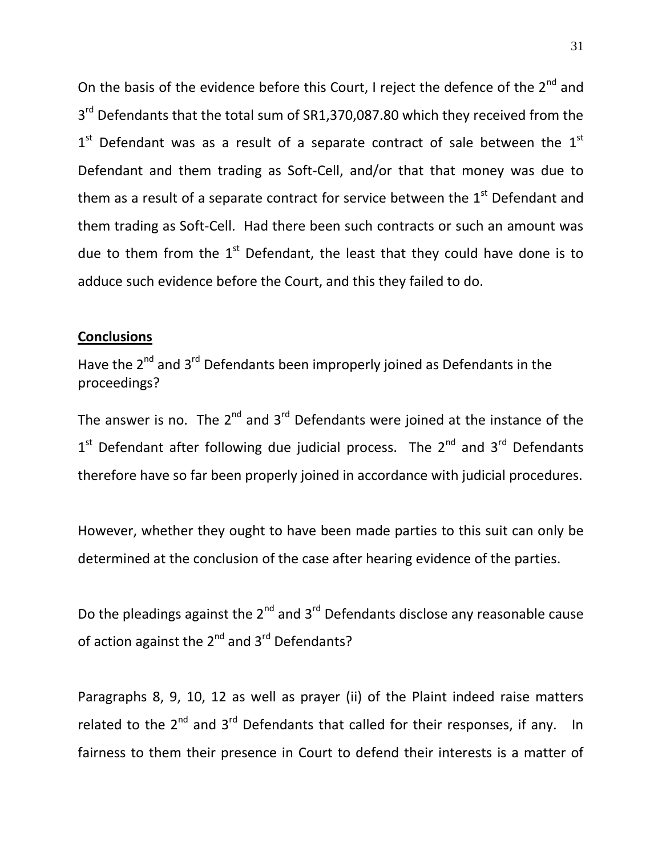On the basis of the evidence before this Court, I reject the defence of the  $2^{nd}$  and 3<sup>rd</sup> Defendants that the total sum of SR1,370,087.80 which they received from the  $1<sup>st</sup>$  Defendant was as a result of a separate contract of sale between the  $1<sup>st</sup>$ Defendant and them trading as Soft-Cell, and/or that that money was due to them as a result of a separate contract for service between the  $1<sup>st</sup>$  Defendant and them trading as Soft-Cell. Had there been such contracts or such an amount was due to them from the  $1<sup>st</sup>$  Defendant, the least that they could have done is to adduce such evidence before the Court, and this they failed to do.

### **Conclusions**

Have the 2<sup>nd</sup> and 3<sup>rd</sup> Defendants been improperly joined as Defendants in the proceedings?

The answer is no. The  $2^{nd}$  and  $3^{rd}$  Defendants were joined at the instance of the  $1<sup>st</sup>$  Defendant after following due judicial process. The  $2<sup>nd</sup>$  and  $3<sup>rd</sup>$  Defendants therefore have so far been properly joined in accordance with judicial procedures.

However, whether they ought to have been made parties to this suit can only be determined at the conclusion of the case after hearing evidence of the parties.

Do the pleadings against the  $2^{nd}$  and  $3^{rd}$  Defendants disclose any reasonable cause of action against the  $2^{nd}$  and  $3^{rd}$  Defendants?

Paragraphs 8, 9, 10, 12 as well as prayer (ii) of the Plaint indeed raise matters related to the  $2^{nd}$  and  $3^{rd}$  Defendants that called for their responses, if any. In fairness to them their presence in Court to defend their interests is a matter of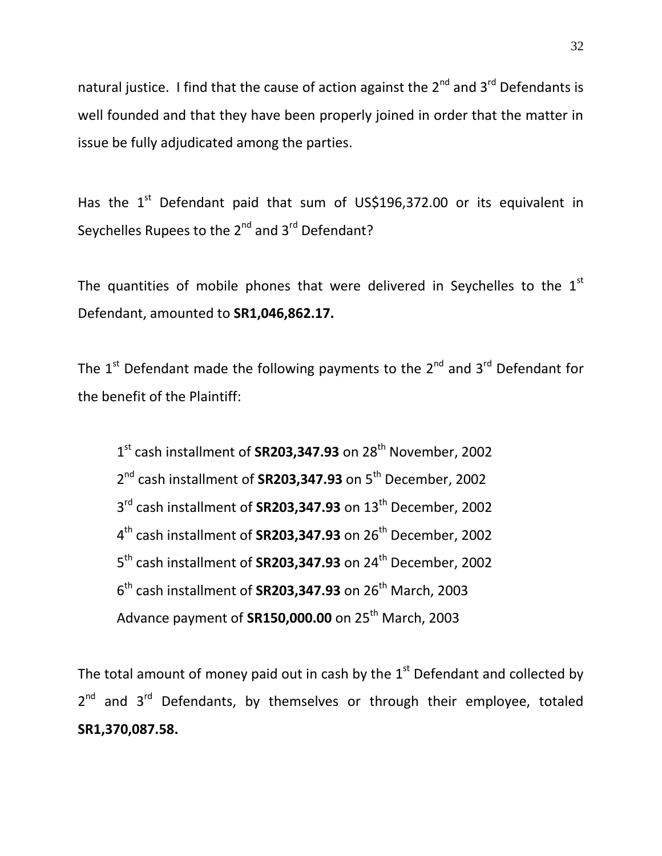natural justice. I find that the cause of action against the  $2^{nd}$  and  $3^{rd}$  Defendants is well founded and that they have been properly joined in order that the matter in issue be fully adjudicated among the parties.

Has the  $1<sup>st</sup>$  Defendant paid that sum of US\$196,372.00 or its equivalent in Seychelles Rupees to the 2<sup>nd</sup> and 3<sup>rd</sup> Defendant?

The quantities of mobile phones that were delivered in Seychelles to the  $1<sup>st</sup>$ Defendant, amounted to **SR1,046,862.17.**

The  $1^{\text{st}}$  Defendant made the following payments to the  $2^{\text{nd}}$  and  $3^{\text{rd}}$  Defendant for the benefit of the Plaintiff:

1<sup>st</sup> cash installment of **SR203,347.93** on 28<sup>th</sup> November, 2002 2<sup>nd</sup> cash installment of **SR203,347.93** on 5<sup>th</sup> December, 2002 3<sup>rd</sup> cash installment of **SR203,347.93** on 13<sup>th</sup> December, 2002 4<sup>th</sup> cash installment of **SR203,347.93** on 26<sup>th</sup> December, 2002 5<sup>th</sup> cash installment of **SR203,347.93** on 24<sup>th</sup> December, 2002 6<sup>th</sup> cash installment of **SR203,347.93** on 26<sup>th</sup> March, 2003 Advance payment of **SR150,000.00** on 25th March, 2003

The total amount of money paid out in cash by the  $1<sup>st</sup>$  Defendant and collected by 2<sup>nd</sup> and 3<sup>rd</sup> Defendants, by themselves or through their employee, totaled **SR1,370,087.58.**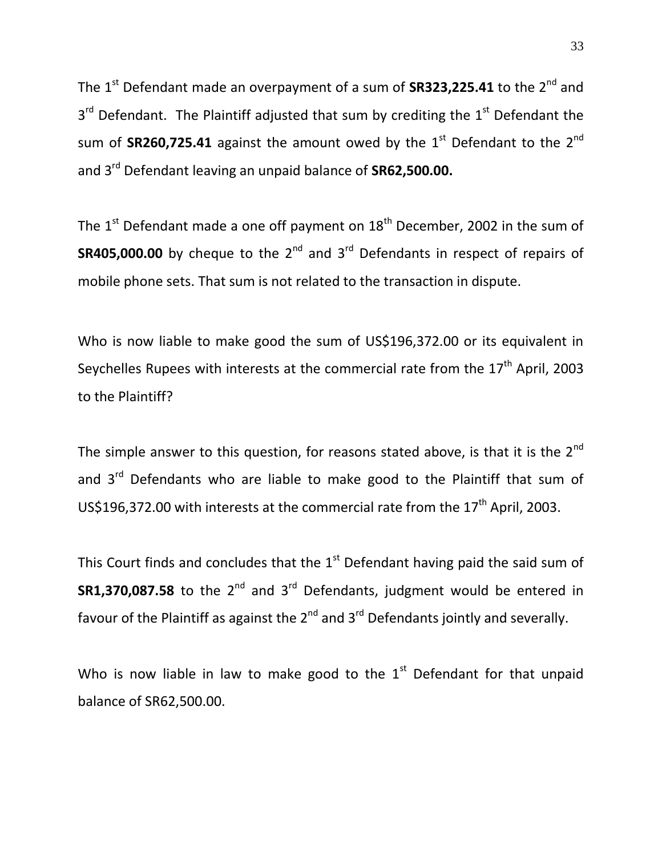The 1<sup>st</sup> Defendant made an overpayment of a sum of **SR323,225.41** to the 2<sup>nd</sup> and  $3<sup>rd</sup>$  Defendant. The Plaintiff adjusted that sum by crediting the  $1<sup>st</sup>$  Defendant the sum of **SR260,725.41** against the amount owed by the  $1<sup>st</sup>$  Defendant to the  $2<sup>nd</sup>$ and 3rd Defendant leaving an unpaid balance of **SR62,500.00.**

The  $1<sup>st</sup>$  Defendant made a one off payment on  $18<sup>th</sup>$  December, 2002 in the sum of **SR405,000.00** by cheque to the 2<sup>nd</sup> and 3<sup>rd</sup> Defendants in respect of repairs of mobile phone sets. That sum is not related to the transaction in dispute.

Who is now liable to make good the sum of US\$196,372.00 or its equivalent in Seychelles Rupees with interests at the commercial rate from the  $17<sup>th</sup>$  April, 2003 to the Plaintiff?

The simple answer to this question, for reasons stated above, is that it is the  $2^{nd}$ and  $3^{rd}$  Defendants who are liable to make good to the Plaintiff that sum of US\$196,372.00 with interests at the commercial rate from the 17<sup>th</sup> April, 2003.

This Court finds and concludes that the  $1<sup>st</sup>$  Defendant having paid the said sum of **SR1,370,087.58** to the 2<sup>nd</sup> and 3<sup>rd</sup> Defendants, judgment would be entered in favour of the Plaintiff as against the  $2^{nd}$  and  $3^{rd}$  Defendants jointly and severally.

Who is now liable in law to make good to the  $1<sup>st</sup>$  Defendant for that unpaid balance of SR62,500.00.